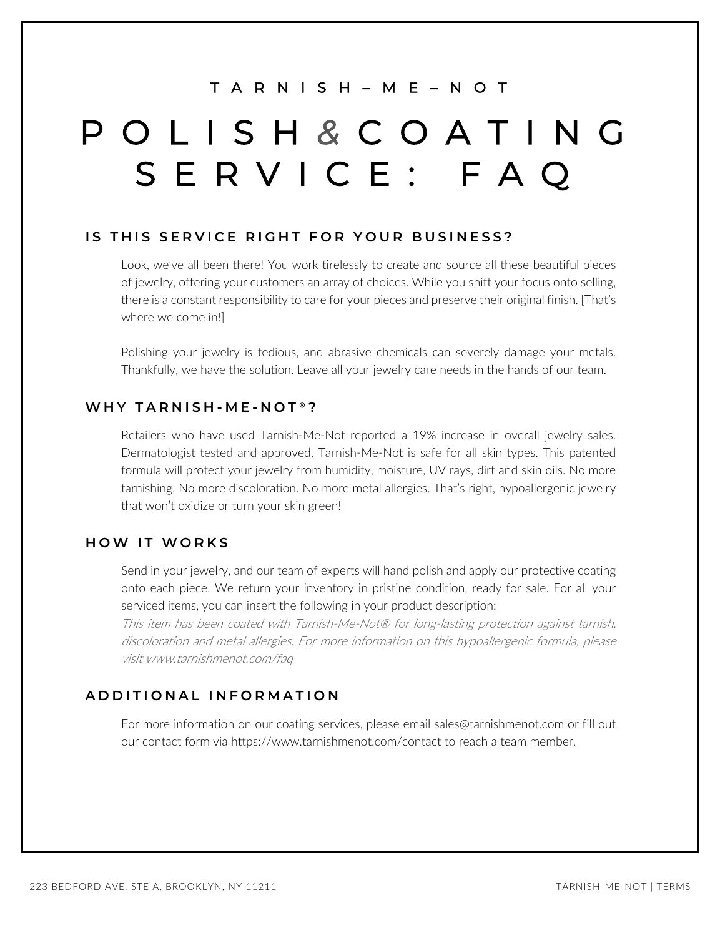# T A R N I S H – M E – N O T

# POLISH *&* COATING SERVICE: FAQ

## **IS THIS SERVICE RIGHT FOR YOUR BUSINESS?**

Look, we've all been there! You work tirelessly to create and source all these beautiful pieces of jewelry, offering your customers an array of choices. While you shift your focus onto selling, there is a constant responsibility to care for your pieces and preserve their original finish. [That's where we come in!]

Polishing your jewelry is tedious, and abrasive chemicals can severely damage your metals. Thankfully, we have the solution. Leave all your jewelry care needs in the hands of our team.

### **WHY TARNISH - M E - NOT** ® **?**

Retailers who have used Tarnish-Me-Not reported a 19% increase in overall jewelry sales. Dermatologist tested and approved, Tarnish-Me-Not is safe for all skin types. This patented formula will protect your jewelry from humidity, moisture, UV rays, dirt and skin oils. No more tarnishing. No more discoloration. No more metal allergies. That's right, hypoallergenic jewelry that won't oxidize or turn your skin green!

## **HOW IT WORK S**

Send in your jewelry, and our team of experts will hand polish and apply our protective coating onto each piece. We return your inventory in pristine condition, ready for sale. For all your serviced items, you can insert the following in your product description:

This item has been coated with Tarnish-Me-Not® for long-lasting protection against tarnish, discoloration and metal allergies. For more information on this hypoallergenic formula, please visit www.tarnishmenot.com/faq

### **ADDITIONAL INFORMATION**

For more information on our coating services, please email sales@tarnishmenot.com or fill out our contact form via https://www.tarnishmenot.com/contact to reach a team member.